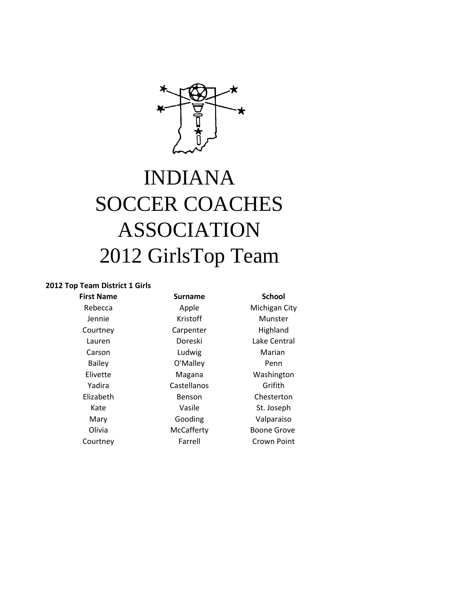

# INDIANA SOCCER COACHES ASSOCIATION 2012 GirlsTop Team

## **2012 Top Team District 1 Girls**

| <b>First Name</b> | Surname     | <b>School</b>      |  |
|-------------------|-------------|--------------------|--|
| Rebecca           | Apple       | Michigan City      |  |
| Jennie            | Kristoff    | Munster            |  |
| Courtney          | Carpenter   | Highland           |  |
| Lauren            | Doreski     | Lake Central       |  |
| Carson            | Ludwig      | Marian             |  |
| <b>Bailey</b>     | O'Malley    | Penn               |  |
| Elivette          | Magana      | Washington         |  |
| Yadira            | Castellanos | Grifith            |  |
| Elizabeth         | Benson      | Chesterton         |  |
| Kate              | Vasile      | St. Joseph         |  |
| Mary              | Gooding     | Valparaiso         |  |
| Olivia            | McCafferty  | <b>Boone Grove</b> |  |
| Courtney          | Farrell     | Crown Point        |  |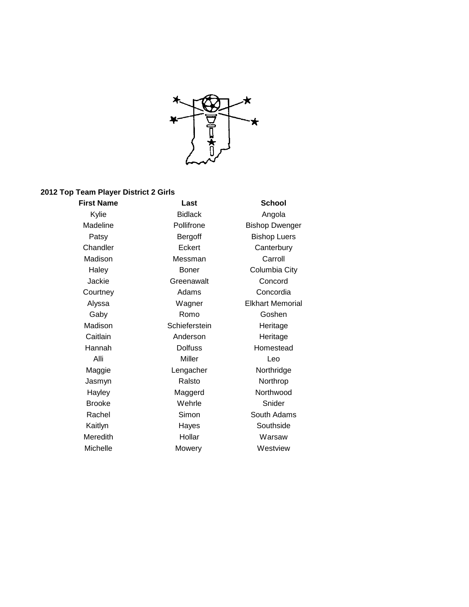

#### **2012 Top Team Player District 2 Girls**

Michelle Mowery Mowery Westview

**First Name Last School** Kylie Bidlack Angola Chandler **Eckert** Canterbury Madison Messman Carroll Jackie Greenawalt Concord Courtney **Adams** Concordia Gaby Romo Goshen Madison Schieferstein Heritage Caitlain **Anderson** Heritage Hannah Dolfuss Homestead Alli Miller Leo Maggie **Communist Lengacher** Northridge Jasmyn Ralsto Northrop Hayley Maggerd Northwood Brooke Wehrle Snider Kaitlyn Hayes Southside Meredith Hollar Hollar Warsaw

Madeline **Pollifrone** Bishop Dwenger Patsy **Bergoff** Bishop Luers Haley **Boner** Columbia City Alyssa Wagner Elkhart Memorial Rachel Simon South Adams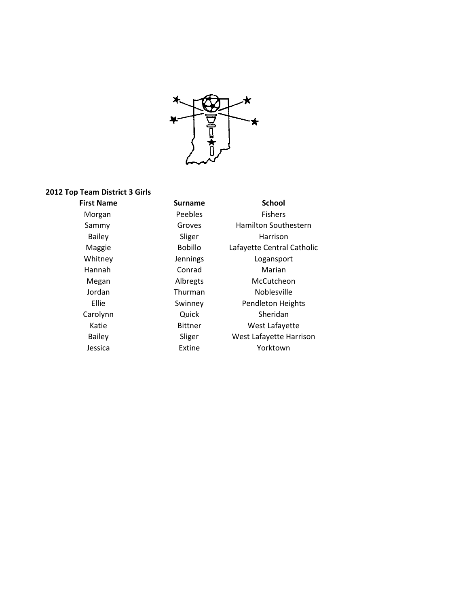

#### **2012 Top Team District 3 Girls**

**First Name Surname School** Morgan **Peebles Fishers** Sammy Groves Hamilton Southestern Bailey Sliger Harrison Maggie Bobillo Lafayette Central Catholic Whitney **Jennings** Logansport Hannah Conrad Marian Megan Albregts McCutcheon Jordan Thurman Noblesville Ellie Swinney Pendleton Heights Carolynn Quick Sheridan Katie Bittner West Lafayette Bailey Sliger West Lafayette Harrison Jessica Extine Yorktown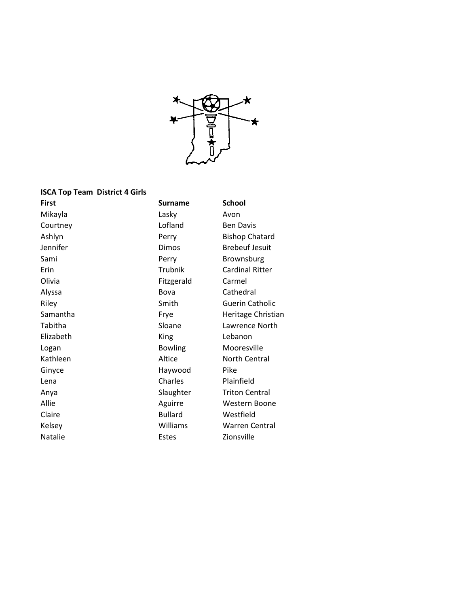

#### **ISCA Top Team District 4 Girls**

Mikayla Lasky Avon Courtney **Courtney Courtney Courtney** Ashlyn **Perry** Bishop Chatard Jennifer **Dimos** Brebeuf Jesuit Sami **Perry** Brownsburg Erin Trubnik Cardinal Ritter Olivia **Fitzgerald** Carmel Alyssa Bova Cathedral Riley **Smith** Guerin Catholic Samantha **Frye** Heritage Christian Tabitha **Sloane** Sloane Lawrence North Elizabeth King Lebanon Logan Bowling Mooresville Kathleen Altice North Central Ginyce **Haywood** Pike Lena Charles Plainfield Anya **Slaughter** Triton Central Allie **Aguirre** Mestern Boone Claire **Bullard** Westfield Kelsey **Williams** Williams Warren Central Natalie **Natalie Estes** Estes **Zionsville** 

**First** Surname School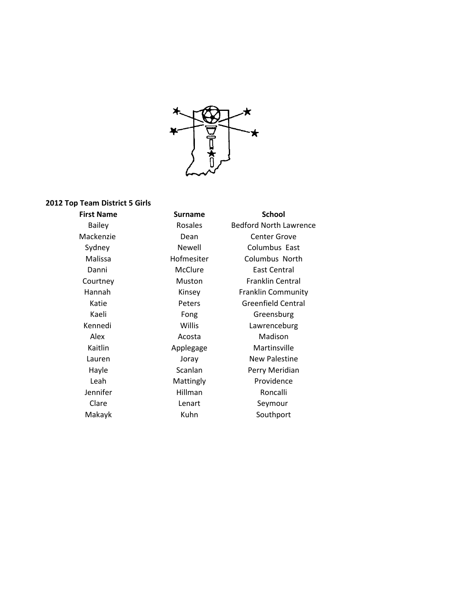

## **2012 Top Team District 5 Girls**

**First Name Surname School** Bailey Rosales Bedford North Lawrence Mackenzie Dean Center Grove Sydney Newell Columbus East Malissa Hofmesiter Columbus North Danni McClure East Central Courtney Muston Franklin Central Hannah Kinsey Franklin Community Katie Peters Greenfield Central Kaeli **Fong** Greensburg Kennedi Willis Lawrenceburg Alex Acosta Madison Kaitlin Applegage Martinsville Lauren **Ioray** Joray New Palestine Hayle Scanlan Perry Meridian Leah Mattingly Providence Jennifer Hillman Roncalli Clare **Lenart** Seymour Makayk **Kuhn** Kuhn Southport